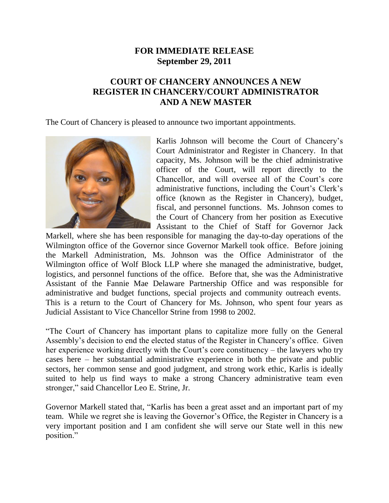## **FOR IMMEDIATE RELEASE September 29, 2011**

## **COURT OF CHANCERY ANNOUNCES A NEW REGISTER IN CHANCERY/COURT ADMINISTRATOR AND A NEW MASTER**

The Court of Chancery is pleased to announce two important appointments.



Karlis Johnson will become the Court of Chancery's Court Administrator and Register in Chancery. In that capacity, Ms. Johnson will be the chief administrative officer of the Court, will report directly to the Chancellor, and will oversee all of the Court's core administrative functions, including the Court's Clerk's office (known as the Register in Chancery), budget, fiscal, and personnel functions. Ms. Johnson comes to the Court of Chancery from her position as Executive Assistant to the Chief of Staff for Governor Jack

Markell, where she has been responsible for managing the day-to-day operations of the Wilmington office of the Governor since Governor Markell took office. Before joining the Markell Administration, Ms. Johnson was the Office Administrator of the Wilmington office of Wolf Block LLP where she managed the administrative, budget, logistics, and personnel functions of the office. Before that, she was the Administrative Assistant of the Fannie Mae Delaware Partnership Office and was responsible for administrative and budget functions, special projects and community outreach events. This is a return to the Court of Chancery for Ms. Johnson, who spent four years as Judicial Assistant to Vice Chancellor Strine from 1998 to 2002.

"The Court of Chancery has important plans to capitalize more fully on the General Assembly's decision to end the elected status of the Register in Chancery's office. Given her experience working directly with the Court's core constituency – the lawyers who try cases here – her substantial administrative experience in both the private and public sectors, her common sense and good judgment, and strong work ethic, Karlis is ideally suited to help us find ways to make a strong Chancery administrative team even stronger," said Chancellor Leo E. Strine, Jr.

Governor Markell stated that, "Karlis has been a great asset and an important part of my team. While we regret she is leaving the Governor's Office, the Register in Chancery is a very important position and I am confident she will serve our State well in this new position."